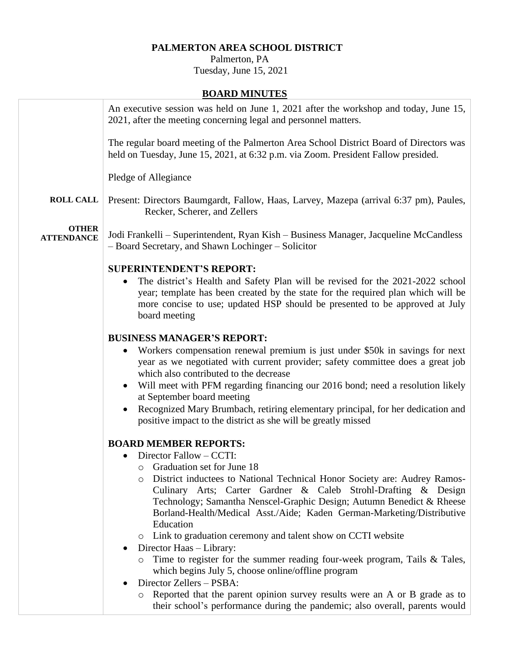## **PALMERTON AREA SCHOOL DISTRICT**

 Palmerton, PA Tuesday, June 15, 2021

## **BOARD MINUTES**

|                                   | An executive session was held on June 1, 2021 after the workshop and today, June 15,<br>2021, after the meeting concerning legal and personnel matters.                                                                                                                                               |
|-----------------------------------|-------------------------------------------------------------------------------------------------------------------------------------------------------------------------------------------------------------------------------------------------------------------------------------------------------|
|                                   | The regular board meeting of the Palmerton Area School District Board of Directors was<br>held on Tuesday, June 15, 2021, at 6:32 p.m. via Zoom. President Fallow presided.                                                                                                                           |
|                                   | Pledge of Allegiance                                                                                                                                                                                                                                                                                  |
| <b>ROLL CALL</b>                  | Present: Directors Baumgardt, Fallow, Haas, Larvey, Mazepa (arrival 6:37 pm), Paules,<br>Recker, Scherer, and Zellers                                                                                                                                                                                 |
| <b>OTHER</b><br><b>ATTENDANCE</b> | Jodi Frankelli – Superintendent, Ryan Kish – Business Manager, Jacqueline McCandless<br>- Board Secretary, and Shawn Lochinger - Solicitor                                                                                                                                                            |
|                                   |                                                                                                                                                                                                                                                                                                       |
|                                   | <b>SUPERINTENDENT'S REPORT:</b><br>The district's Health and Safety Plan will be revised for the 2021-2022 school<br>year; template has been created by the state for the required plan which will be<br>more concise to use; updated HSP should be presented to be approved at July<br>board meeting |
|                                   |                                                                                                                                                                                                                                                                                                       |
|                                   | <b>BUSINESS MANAGER'S REPORT:</b>                                                                                                                                                                                                                                                                     |
|                                   | Workers compensation renewal premium is just under \$50k in savings for next<br>year as we negotiated with current provider; safety committee does a great job<br>which also contributed to the decrease                                                                                              |
|                                   | Will meet with PFM regarding financing our 2016 bond; need a resolution likely                                                                                                                                                                                                                        |
|                                   | at September board meeting                                                                                                                                                                                                                                                                            |
|                                   | Recognized Mary Brumbach, retiring elementary principal, for her dedication and<br>positive impact to the district as she will be greatly missed                                                                                                                                                      |
|                                   | <b>BOARD MEMBER REPORTS:</b>                                                                                                                                                                                                                                                                          |
|                                   | Director Fallow – CCTI:                                                                                                                                                                                                                                                                               |
|                                   | $\circ$ Graduation set for June 18                                                                                                                                                                                                                                                                    |
|                                   | District inductees to National Technical Honor Society are: Audrey Ramos-<br>O                                                                                                                                                                                                                        |
|                                   | Culinary Arts; Carter Gardner & Caleb Strohl-Drafting & Design                                                                                                                                                                                                                                        |
|                                   | Technology; Samantha Nenscel-Graphic Design; Autumn Benedict & Rheese                                                                                                                                                                                                                                 |
|                                   | Borland-Health/Medical Asst./Aide; Kaden German-Marketing/Distributive                                                                                                                                                                                                                                |
|                                   | Education                                                                                                                                                                                                                                                                                             |
|                                   | Link to graduation ceremony and talent show on CCTI website<br>O                                                                                                                                                                                                                                      |
|                                   | Director Haas - Library:<br>$\bullet$                                                                                                                                                                                                                                                                 |
|                                   | Time to register for the summer reading four-week program, Tails & Tales,<br>O<br>which begins July 5, choose online/offline program                                                                                                                                                                  |
|                                   | Director Zellers - PSBA:                                                                                                                                                                                                                                                                              |
|                                   | Reported that the parent opinion survey results were an A or B grade as to<br>O                                                                                                                                                                                                                       |
|                                   | their school's performance during the pandemic; also overall, parents would                                                                                                                                                                                                                           |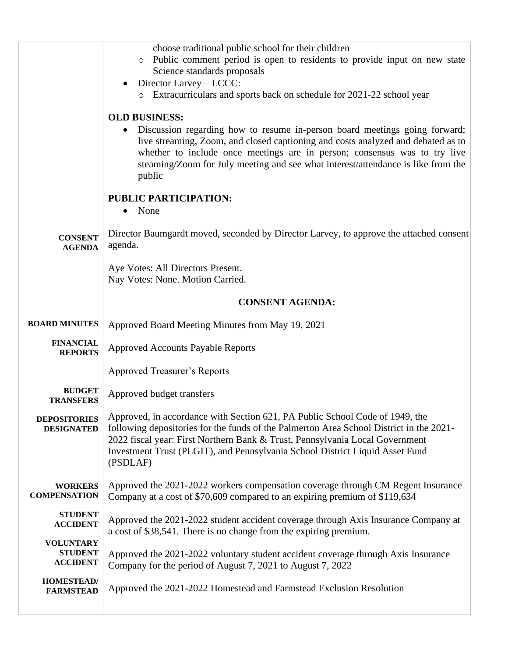|                                                       | choose traditional public school for their children<br>Public comment period is open to residents to provide input on new state<br>Science standards proposals<br>Director Larvey – LCCC:                                                                                                                                                           |
|-------------------------------------------------------|-----------------------------------------------------------------------------------------------------------------------------------------------------------------------------------------------------------------------------------------------------------------------------------------------------------------------------------------------------|
|                                                       | Extracurriculars and sports back on schedule for 2021-22 school year<br>$\circ$                                                                                                                                                                                                                                                                     |
|                                                       | <b>OLD BUSINESS:</b>                                                                                                                                                                                                                                                                                                                                |
|                                                       | Discussion regarding how to resume in-person board meetings going forward;<br>live streaming, Zoom, and closed captioning and costs analyzed and debated as to<br>whether to include once meetings are in person; consensus was to try live<br>steaming/Zoom for July meeting and see what interest/attendance is like from the<br>public           |
|                                                       | <b>PUBLIC PARTICIPATION:</b>                                                                                                                                                                                                                                                                                                                        |
|                                                       | None<br>٠                                                                                                                                                                                                                                                                                                                                           |
| <b>CONSENT</b><br><b>AGENDA</b>                       | Director Baumgardt moved, seconded by Director Larvey, to approve the attached consent<br>agenda.                                                                                                                                                                                                                                                   |
|                                                       | Aye Votes: All Directors Present.                                                                                                                                                                                                                                                                                                                   |
|                                                       | Nay Votes: None. Motion Carried.                                                                                                                                                                                                                                                                                                                    |
|                                                       | <b>CONSENT AGENDA:</b>                                                                                                                                                                                                                                                                                                                              |
| <b>BOARD MINUTES</b>                                  | Approved Board Meeting Minutes from May 19, 2021                                                                                                                                                                                                                                                                                                    |
| <b>FINANCIAL</b><br><b>REPORTS</b>                    | <b>Approved Accounts Payable Reports</b>                                                                                                                                                                                                                                                                                                            |
|                                                       | <b>Approved Treasurer's Reports</b>                                                                                                                                                                                                                                                                                                                 |
| <b>BUDGET</b><br><b>TRANSFERS</b>                     | Approved budget transfers                                                                                                                                                                                                                                                                                                                           |
| <b>DEPOSITORIES</b><br><b>DESIGNATED</b>              | Approved, in accordance with Section 621, PA Public School Code of 1949, the<br>following depositories for the funds of the Palmerton Area School District in the 2021-<br>2022 fiscal year: First Northern Bank & Trust, Pennsylvania Local Government<br>Investment Trust (PLGIT), and Pennsylvania School District Liquid Asset Fund<br>(PSDLAF) |
| <b>WORKERS</b><br><b>COMPENSATION</b>                 | Approved the 2021-2022 workers compensation coverage through CM Regent Insurance<br>Company at a cost of \$70,609 compared to an expiring premium of \$119,634                                                                                                                                                                                      |
| <b>STUDENT</b><br><b>ACCIDENT</b>                     | Approved the 2021-2022 student accident coverage through Axis Insurance Company at<br>a cost of \$38,541. There is no change from the expiring premium.                                                                                                                                                                                             |
| <b>VOLUNTARY</b><br><b>STUDENT</b><br><b>ACCIDENT</b> | Approved the 2021-2022 voluntary student accident coverage through Axis Insurance<br>Company for the period of August 7, 2021 to August 7, 2022                                                                                                                                                                                                     |
| <b>HOMESTEAD/</b><br><b>FARMSTEAD</b>                 | Approved the 2021-2022 Homestead and Farmstead Exclusion Resolution                                                                                                                                                                                                                                                                                 |
|                                                       |                                                                                                                                                                                                                                                                                                                                                     |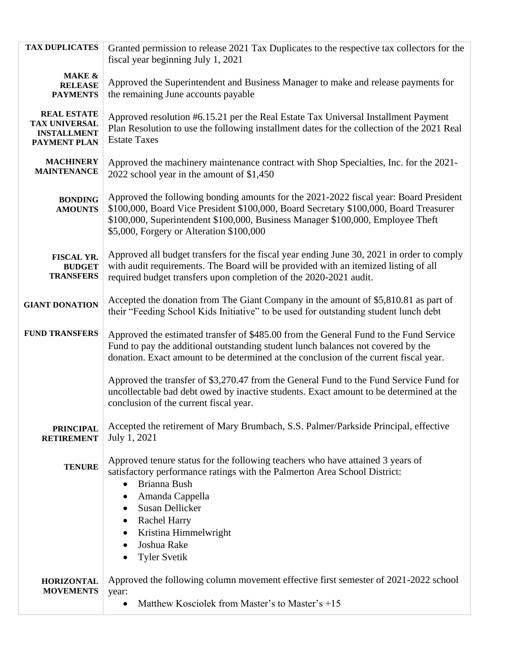| <b>TAX DUPLICATES</b>                                                            | Granted permission to release 2021 Tax Duplicates to the respective tax collectors for the<br>fiscal year beginning July 1, 2021                                                                                                                                                                                                               |
|----------------------------------------------------------------------------------|------------------------------------------------------------------------------------------------------------------------------------------------------------------------------------------------------------------------------------------------------------------------------------------------------------------------------------------------|
| <b>MAKE &amp;</b><br><b>RELEASE</b><br><b>PAYMENTS</b>                           | Approved the Superintendent and Business Manager to make and release payments for<br>the remaining June accounts payable                                                                                                                                                                                                                       |
| <b>REAL ESTATE</b><br><b>TAX UNIVERSAL</b><br><b>INSTALLMENT</b><br>PAYMENT PLAN | Approved resolution #6.15.21 per the Real Estate Tax Universal Installment Payment<br>Plan Resolution to use the following installment dates for the collection of the 2021 Real<br><b>Estate Taxes</b>                                                                                                                                        |
| <b>MACHINERY</b><br><b>MAINTENANCE</b>                                           | Approved the machinery maintenance contract with Shop Specialties, Inc. for the 2021-<br>2022 school year in the amount of \$1,450                                                                                                                                                                                                             |
| <b>BONDING</b><br><b>AMOUNTS</b>                                                 | Approved the following bonding amounts for the 2021-2022 fiscal year: Board President<br>\$100,000, Board Vice President \$100,000, Board Secretary \$100,000, Board Treasurer<br>\$100,000, Superintendent \$100,000, Business Manager \$100,000, Employee Theft<br>\$5,000, Forgery or Alteration \$100,000                                  |
| FISCAL YR.<br><b>BUDGET</b><br><b>TRANSFERS</b>                                  | Approved all budget transfers for the fiscal year ending June 30, 2021 in order to comply<br>with audit requirements. The Board will be provided with an itemized listing of all<br>required budget transfers upon completion of the 2020-2021 audit.                                                                                          |
| <b>GIANT DONATION</b>                                                            | Accepted the donation from The Giant Company in the amount of \$5,810.81 as part of<br>their "Feeding School Kids Initiative" to be used for outstanding student lunch debt                                                                                                                                                                    |
| <b>FUND TRANSFERS</b>                                                            | Approved the estimated transfer of \$485.00 from the General Fund to the Fund Service<br>Fund to pay the additional outstanding student lunch balances not covered by the<br>donation. Exact amount to be determined at the conclusion of the current fiscal year.                                                                             |
|                                                                                  | Approved the transfer of \$3,270.47 from the General Fund to the Fund Service Fund for<br>uncollectable bad debt owed by inactive students. Exact amount to be determined at the<br>conclusion of the current fiscal year.                                                                                                                     |
| <b>PRINCIPAL</b><br><b>RETIREMENT</b>                                            | Accepted the retirement of Mary Brumbach, S.S. Palmer/Parkside Principal, effective<br>July 1, 2021                                                                                                                                                                                                                                            |
| <b>TENURE</b>                                                                    | Approved tenure status for the following teachers who have attained 3 years of<br>satisfactory performance ratings with the Palmerton Area School District:<br>Brianna Bush<br>$\bullet$<br>Amanda Cappella<br>Susan Dellicker<br><b>Rachel Harry</b><br>$\bullet$<br>Kristina Himmelwright<br>Joshua Rake<br>$\bullet$<br><b>Tyler Svetik</b> |
| <b>HORIZONTAL</b><br><b>MOVEMENTS</b>                                            | Approved the following column movement effective first semester of 2021-2022 school<br>year:<br>Matthew Kosciolek from Master's to Master's +15                                                                                                                                                                                                |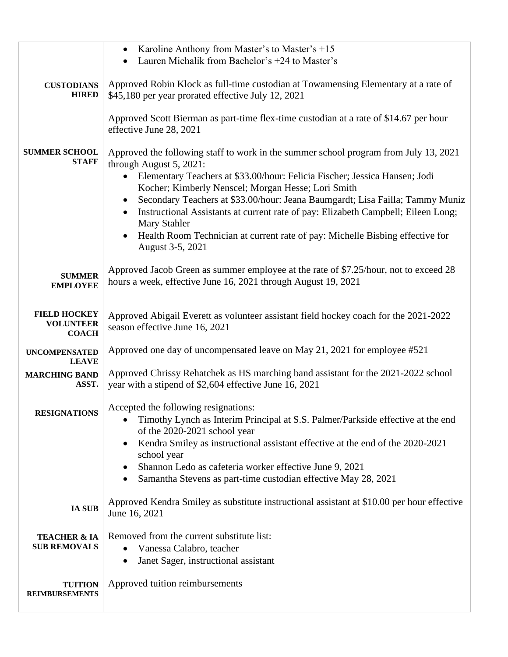|                                                         | Karoline Anthony from Master's to Master's $+15$<br>$\bullet$<br>Lauren Michalik from Bachelor's +24 to Master's<br>$\bullet$                                                      |
|---------------------------------------------------------|------------------------------------------------------------------------------------------------------------------------------------------------------------------------------------|
| <b>CUSTODIANS</b><br><b>HIRED</b>                       | Approved Robin Klock as full-time custodian at Towamensing Elementary at a rate of<br>\$45,180 per year prorated effective July 12, 2021                                           |
|                                                         | Approved Scott Bierman as part-time flex-time custodian at a rate of \$14.67 per hour<br>effective June 28, 2021                                                                   |
| <b>SUMMER SCHOOL</b><br><b>STAFF</b>                    | Approved the following staff to work in the summer school program from July 13, 2021<br>through August 5, 2021:                                                                    |
|                                                         | Elementary Teachers at \$33.00/hour: Felicia Fischer; Jessica Hansen; Jodi<br>$\bullet$<br>Kocher; Kimberly Nenscel; Morgan Hesse; Lori Smith                                      |
|                                                         | Secondary Teachers at \$33.00/hour: Jeana Baumgardt; Lisa Failla; Tammy Muniz<br>Instructional Assistants at current rate of pay: Elizabeth Campbell; Eileen Long;<br>Mary Stahler |
|                                                         | Health Room Technician at current rate of pay: Michelle Bisbing effective for<br>$\bullet$<br>August 3-5, 2021                                                                     |
| <b>SUMMER</b><br><b>EMPLOYEE</b>                        | Approved Jacob Green as summer employee at the rate of \$7.25/hour, not to exceed 28<br>hours a week, effective June 16, 2021 through August 19, 2021                              |
| <b>FIELD HOCKEY</b><br><b>VOLUNTEER</b><br><b>COACH</b> | Approved Abigail Everett as volunteer assistant field hockey coach for the 2021-2022<br>season effective June 16, 2021                                                             |
| <b>UNCOMPENSATED</b><br><b>LEAVE</b>                    | Approved one day of uncompensated leave on May 21, 2021 for employee #521                                                                                                          |
| <b>MARCHING BAND</b><br>ASST.                           | Approved Chrissy Rehatchek as HS marching band assistant for the 2021-2022 school<br>year with a stipend of \$2,604 effective June 16, 2021                                        |
| RESIGNATIONS                                            | Accepted the following resignations:                                                                                                                                               |
|                                                         | Timothy Lynch as Interim Principal at S.S. Palmer/Parkside effective at the end<br>$\bullet$<br>of the 2020-2021 school year                                                       |
|                                                         | Kendra Smiley as instructional assistant effective at the end of the 2020-2021<br>$\bullet$<br>school year                                                                         |
|                                                         | Shannon Ledo as cafeteria worker effective June 9, 2021<br>$\bullet$                                                                                                               |
|                                                         | Samantha Stevens as part-time custodian effective May 28, 2021<br>$\bullet$                                                                                                        |
| <b>IA SUB</b>                                           | Approved Kendra Smiley as substitute instructional assistant at \$10.00 per hour effective<br>June 16, 2021                                                                        |
| <b>TEACHER &amp; IA</b>                                 | Removed from the current substitute list:                                                                                                                                          |
| <b>SUB REMOVALS</b>                                     | Vanessa Calabro, teacher<br>Janet Sager, instructional assistant<br>$\bullet$                                                                                                      |
| <b>TUITION</b><br><b>REIMBURSEMENTS</b>                 | Approved tuition reimbursements                                                                                                                                                    |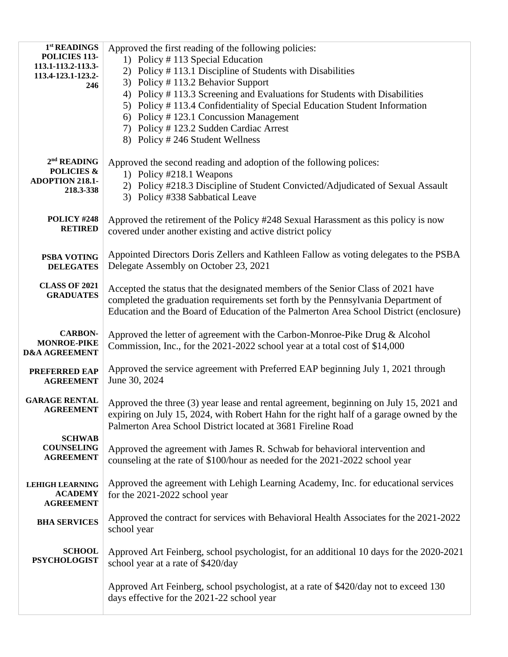| 1 <sup>st</sup> READINGS<br>POLICIES 113-<br>113.1-113.2-113.3-<br>113.4-123.1-123.2-<br>246 | Approved the first reading of the following policies:<br>1) Policy #113 Special Education<br>2) Policy #113.1 Discipline of Students with Disabilities<br>3) Policy #113.2 Behavior Support<br>4) Policy #113.3 Screening and Evaluations for Students with Disabilities<br>5) Policy #113.4 Confidentiality of Special Education Student Information<br>6) Policy #123.1 Concussion Management<br>7) Policy # 123.2 Sudden Cardiac Arrest<br>8) Policy # 246 Student Wellness |
|----------------------------------------------------------------------------------------------|--------------------------------------------------------------------------------------------------------------------------------------------------------------------------------------------------------------------------------------------------------------------------------------------------------------------------------------------------------------------------------------------------------------------------------------------------------------------------------|
| $2nd$ READING<br><b>POLICIES &amp;</b><br><b>ADOPTION 218.1-</b><br>218.3-338                | Approved the second reading and adoption of the following polices:<br>1) Policy #218.1 Weapons<br>2) Policy #218.3 Discipline of Student Convicted/Adjudicated of Sexual Assault<br>3) Policy #338 Sabbatical Leave                                                                                                                                                                                                                                                            |
| <b>POLICY #248</b><br><b>RETIRED</b>                                                         | Approved the retirement of the Policy #248 Sexual Harassment as this policy is now<br>covered under another existing and active district policy                                                                                                                                                                                                                                                                                                                                |
| PSBA VOTING<br><b>DELEGATES</b>                                                              | Appointed Directors Doris Zellers and Kathleen Fallow as voting delegates to the PSBA<br>Delegate Assembly on October 23, 2021                                                                                                                                                                                                                                                                                                                                                 |
| <b>CLASS OF 2021</b><br><b>GRADUATES</b>                                                     | Accepted the status that the designated members of the Senior Class of 2021 have<br>completed the graduation requirements set forth by the Pennsylvania Department of<br>Education and the Board of Education of the Palmerton Area School District (enclosure)                                                                                                                                                                                                                |
| <b>CARBON-</b><br><b>MONROE-PIKE</b><br><b>D&amp;A AGREEMENT</b>                             | Approved the letter of agreement with the Carbon-Monroe-Pike Drug & Alcohol<br>Commission, Inc., for the 2021-2022 school year at a total cost of \$14,000                                                                                                                                                                                                                                                                                                                     |
| PREFERRED EAP<br><b>AGREEMENT</b>                                                            | Approved the service agreement with Preferred EAP beginning July 1, 2021 through<br>June 30, 2024                                                                                                                                                                                                                                                                                                                                                                              |
| <b>GARAGE RENTAL</b><br><b>AGREEMENT</b>                                                     | Approved the three (3) year lease and rental agreement, beginning on July 15, 2021 and<br>expiring on July 15, 2024, with Robert Hahn for the right half of a garage owned by the<br>Palmerton Area School District located at 3681 Fireline Road                                                                                                                                                                                                                              |
| <b>SCHWAB</b><br><b>COUNSELING</b><br><b>AGREEMENT</b>                                       | Approved the agreement with James R. Schwab for behavioral intervention and<br>counseling at the rate of \$100/hour as needed for the 2021-2022 school year                                                                                                                                                                                                                                                                                                                    |
| <b>LEHIGH LEARNING</b><br><b>ACADEMY</b><br><b>AGREEMENT</b>                                 | Approved the agreement with Lehigh Learning Academy, Inc. for educational services<br>for the 2021-2022 school year                                                                                                                                                                                                                                                                                                                                                            |
| <b>BHA SERVICES</b>                                                                          | Approved the contract for services with Behavioral Health Associates for the 2021-2022<br>school year                                                                                                                                                                                                                                                                                                                                                                          |
| <b>SCHOOL</b><br><b>PSYCHOLOGIST</b>                                                         | Approved Art Feinberg, school psychologist, for an additional 10 days for the 2020-2021<br>school year at a rate of \$420/day                                                                                                                                                                                                                                                                                                                                                  |
|                                                                                              | Approved Art Feinberg, school psychologist, at a rate of \$420/day not to exceed 130<br>days effective for the 2021-22 school year                                                                                                                                                                                                                                                                                                                                             |